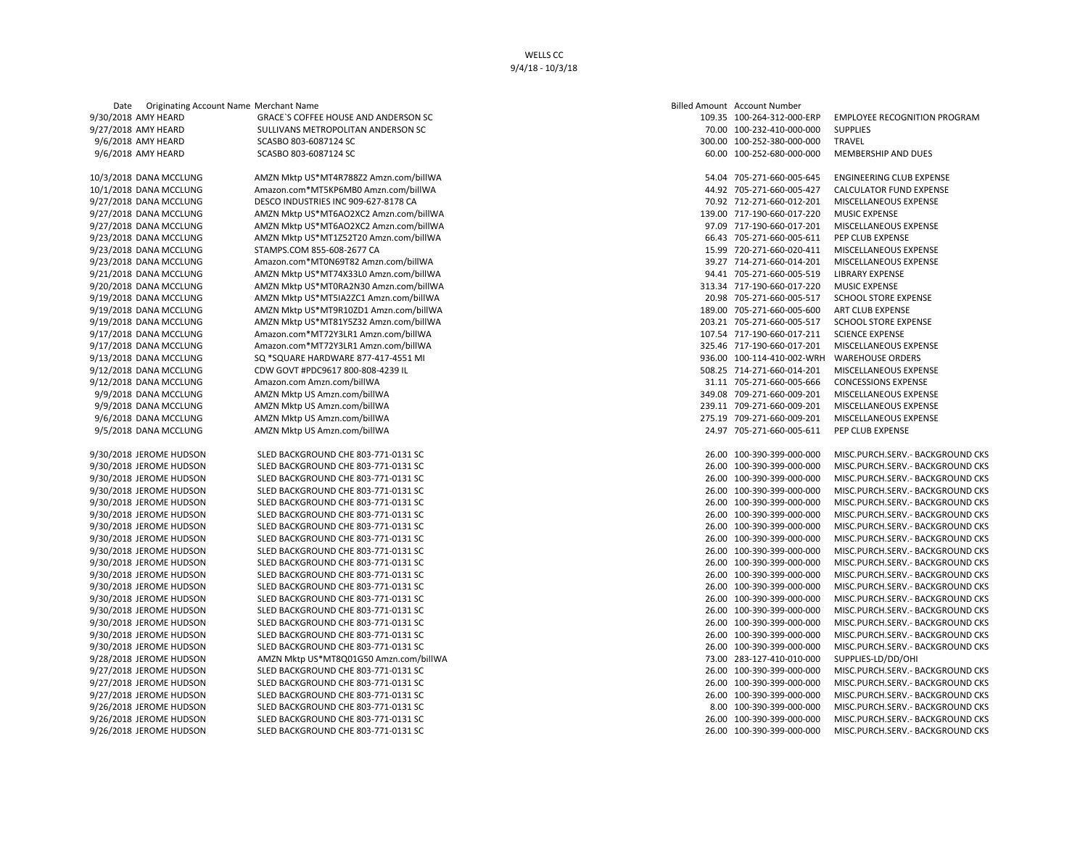Date Originating Account Name Merchant Name Billed Amount Account Amount Account Account Amount Account Amount Account Number Account Account Number Account Account Number Account Number Account Account Account Account Num 9/30/2018 AMY HEARD GRACE`S COFFEE HOUSE AND ANDERSON SC 9/27/2018 AMY HEARD SULLIVANS METROPOLITAN ANDERSON SC 9/6/2018 AMY HEARD SCASBO 803-6087124 SC 9/6/2018 AMY HEARD SCASBO 803-6087124 SC 60.00 100-252-680-000-000 MEMBERSHIP AND DUES 10/3/2018 DANA MCCLUNG AMZN Mktp US\*MT4R788Z2 Amzn.com/billWA 10/1/2018 DANA MCCLUNG Amazon.com\*MT5KP6MB0 Amzn.com/billWA 9/27/2018 DANA MCCLUNG DESCO INDUSTRIES INC 909-627-8178 CA 9/27/2018 DANA MCCLUNG AMZN Mktp US\*MT6AO2XC2 Amzn.com/billWA 9/27/2018 DANA MCCLUNG AMZN Mktp US\*MT6AO2XC2 Amzn.com/billWA 9/23/2018 DANA MCCLUNG AMZN Mktp US\*MT1Z52T20 Amzn.com/billWA 9/23/2018 DANA MCCLUNG STAMPS.COM 855-608-2677 CA 9/23/2018 DANA MCCLUNG Amazon.com\*MT0N69T82 Amzn.com/billWA 9/21/2018 DANA MCCLUNG AMZN Mktp US\*MT74X33L0 Amzn.com/billWA 9/20/2018 DANA MCCLUNG AMZN Mktp US\*MT0RA2N30 Amzn.com/billWA 9/19/2018 DANA MCCLUNG AMZN Mktp US\*MT5IA2ZC1 Amzn.com/billWA 9/19/2018 DANA MCCLUNG AMZN Mktp US\*MT9R10ZD1 Amzn.com/billWA 9/19/2018 DANA MCCLUNG AMZN Mktp US\*MT81Y5Z32 Amzn.com/billWA 9/17/2018 DANA MCCLUNG Amazon.com\*MT72Y3LR1 Amzn.com/billWA 9/17/2018 DANA MCCLUNG Amazon.com\*MT72Y3LR1 Amzn.com/billWA 9/13/2018 DANA MCCLUNG SQ \*SQUARE HARDWARE 877-417-4551 MI 9/12/2018 DANA MCCLUNG CDW GOVT #PDC9617 800-808-4239 IL 9/12/2018 DANA MCCLUNG Amazon.com Amzn.com/billWA 9/9/2018 DANA MCCLUNG AMZN Mktp US Amzn.com/billWA 9/9/2018 DANA MCCLUNG AMZN Mktp US Amzn.com/billWA 9/6/2018 DANA MCCLUNG AMZN Mktp US Amzn.com/billWA 9/5/2018 DANA MCCLUNG AMZN Mktp US Amzn.com/billWA 9/30/2018 JEROME HUDSON SLED BACKGROUND CHE 803-771-0131 SC 9/30/2018 JEROME HUDSON SLED BACKGROUND CHE 803-771-0131 SC 9/30/2018 JEROME HUDSON SLED BACKGROUND CHE 803-771-0131 SC 9/30/2018 JEROME HUDSON SLED BACKGROUND CHE 803-771-0131 SC 9/30/2018 JEROME HUDSON SLED BACKGROUND CHE 803-771-0131 SC 9/30/2018 JEROME HUDSON SLED BACKGROUND CHE 803-771-0131 SC 9/30/2018 JEROME HUDSON SLED BACKGROUND CHE 803-771-0131 SC 9/30/2018 JEROME HUDSON SLED BACKGROUND CHE 803-771-0131 SC 9/30/2018 JEROME HUDSON SLED BACKGROUND CHE 803-771-0131 SC 9/30/2018 JEROME HUDSON SLED BACKGROUND CHE 803-771-0131 SC 9/30/2018 JEROME HUDSON SLED BACKGROUND CHE 803-771-0131 SC 9/30/2018 JEROME HUDSON SLED BACKGROUND CHE 803-771-0131 SC 9/30/2018 JEROME HUDSON SLED BACKGROUND CHE 803-771-0131 SC 9/30/2018 JEROME HUDSON SLED BACKGROUND CHE 803-771-0131 SC 9/30/2018 JEROME HUDSON SLED BACKGROUND CHE 803-771-0131 SC 9/30/2018 JEROME HUDSON SLED BACKGROUND CHE 803-771-0131 SC 9/30/2018 JEROME HUDSON SLED BACKGROUND CHE 803-771-0131 SC 9/28/2018 JEROME HUDSON AMZN Mktp US\*MT8Q01G50 Amzn.com/billWA 9/27/2018 JEROME HUDSON SLED BACKGROUND CHE 803-771-0131 SC 9/27/2018 JEROME HUDSON SLED BACKGROUND CHE 803-771-0131 SC 9/27/2018 JEROME HUDSON SLED BACKGROUND CHE 803-771-0131 SC 9/26/2018 JEROME HUDSON SLED BACKGROUND CHE 803-771-0131 SC 9/26/2018 JEROME HUDSON SLED BACKGROUND CHE 803-771-0131 SC 9/26/2018 JEROME HUDSON SLED BACKGROUND CHE 803-771-0131 SC 26.00 100-390-399-000-000 MISC.PURCH.SERV.- BACKGROUND CKS

|        | led Amount Account Number |                                     |
|--------|---------------------------|-------------------------------------|
| 109.35 | 100-264-312-000-ERP       | <b>EMPLOYEE RECOGNITION PROGRAM</b> |
| 70.00  | 100-232-410-000-000       | <b>SUPPLIES</b>                     |
| 300.00 | 100-252-380-000-000       | TRAVEL                              |
| 60.00  | 100-252-680-000-000       | <b>MEMBERSHIP AND DUES</b>          |
|        |                           |                                     |
| 54.04  | 705-271-660-005-645       | ENGINEERING CLUB EXPENSE            |
| 44.92  | 705-271-660-005-427       | CALCULATOR FUND EXPENSE             |
| 70.92  | 712-271-660-012-201       | MISCELLANEOUS EXPENSE               |
| 139.00 | 717-190-660-017-220       | <b>MUSIC EXPENSE</b>                |
| 97.09  | 717-190-660-017-201       | MISCELLANEOUS EXPENSE               |
| 66.43  | 705-271-660-005-611       | PEP CLUB EXPENSE                    |
|        |                           |                                     |
| 15.99  | 720-271-660-020-411       | MISCELLANEOUS EXPENSE               |
| 39.27  | 714-271-660-014-201       | MISCELLANEOUS EXPENSE               |
| 94.41  | 705-271-660-005-519       | <b>LIBRARY EXPENSE</b>              |
| 313.34 | 717-190-660-017-220       | <b>MUSIC EXPENSE</b>                |
| 20.98  | 705-271-660-005-517       | <b>SCHOOL STORE EXPENSE</b>         |
| 189.00 | 705-271-660-005-600       | <b>ART CLUB EXPENSE</b>             |
| 203.21 | 705-271-660-005-517       | <b>SCHOOL STORE EXPENSE</b>         |
| 107.54 | 717-190-660-017-211       | <b>SCIENCE EXPENSE</b>              |
| 325.46 | 717-190-660-017-201       | MISCELLANEOUS EXPENSE               |
| 936.00 | 100-114-410-002-WRH       | <b>WAREHOUSE ORDERS</b>             |
| 508.25 | 714-271-660-014-201       | MISCELLANEOUS EXPENSE               |
| 31.11  | 705-271-660-005-666       | <b>CONCESSIONS EXPENSE</b>          |
| 349.08 | 709-271-660-009-201       | MISCELLANEOUS EXPENSE               |
| 239.11 | 709-271-660-009-201       | MISCELLANEOUS EXPENSE               |
| 275.19 | 709-271-660-009-201       | MISCELLANEOUS EXPENSE               |
| 24.97  | 705-271-660-005-611       | PEP CLUB EXPENSE                    |
|        |                           |                                     |
| 26.00  | 100-390-399-000-000       | MISC.PURCH.SERV.- BACKGROUND CKS    |
| 26.00  | 100-390-399-000-000       | MISC.PURCH.SERV.- BACKGROUND CKS    |
| 26.00  | 100-390-399-000-000       | MISC.PURCH.SERV.- BACKGROUND CKS    |
| 26.00  | 100-390-399-000-000       | MISC.PURCH.SERV.- BACKGROUND CKS    |
| 26.00  | 100-390-399-000-000       | MISC.PURCH.SERV.- BACKGROUND CKS    |
| 26.00  | 100-390-399-000-000       | MISC.PURCH.SERV. - BACKGROUND CKS   |
| 26.00  | 100-390-399-000-000       | MISC.PURCH.SERV.- BACKGROUND CKS    |
| 26.00  | 100-390-399-000-000       | MISC.PURCH.SERV.- BACKGROUND CKS    |
| 26.00  | 100-390-399-000-000       | MISC.PURCH.SERV.- BACKGROUND CKS    |
| 26.00  | 100-390-399-000-000       | MISC.PURCH.SERV.- BACKGROUND CKS    |
| 26.00  | 100-390-399-000-000       | MISC.PURCH.SERV.- BACKGROUND CKS    |
|        | 100-390-399-000-000       | MISC.PURCH.SERV.- BACKGROUND CKS    |
| 26.00  |                           | MISC.PURCH.SERV.- BACKGROUND CKS    |
| 26.00  | 100-390-399-000-000       |                                     |
| 26.00  | 100-390-399-000-000       | MISC.PURCH.SERV.- BACKGROUND CKS    |
| 26.00  | 100-390-399-000-000       | MISC.PURCH.SERV.- BACKGROUND CKS    |
| 26.00  | 100-390-399-000-000       | MISC.PURCH.SERV.- BACKGROUND CKS    |
| 26.00  | 100-390-399-000-000       | MISC.PURCH.SERV.- BACKGROUND CKS    |
| 73.00  | 283-127-410-010-000       | SUPPLIES-LD/DD/OHI                  |
| 26.00  | 100-390-399-000-000       | MISC.PURCH.SERV.- BACKGROUND CKS    |
| 26.00  | 100-390-399-000-000       | MISC.PURCH.SERV.- BACKGROUND CKS    |
| 26.00  | 100-390-399-000-000       | MISC.PURCH.SERV.- BACKGROUND CKS    |
| 8.00   | 100-390-399-000-000       | MISC.PURCH.SERV.- BACKGROUND CKS    |
| 26.00  | 100-390-399-000-000       | MISC.PURCH.SERV.- BACKGROUND CKS    |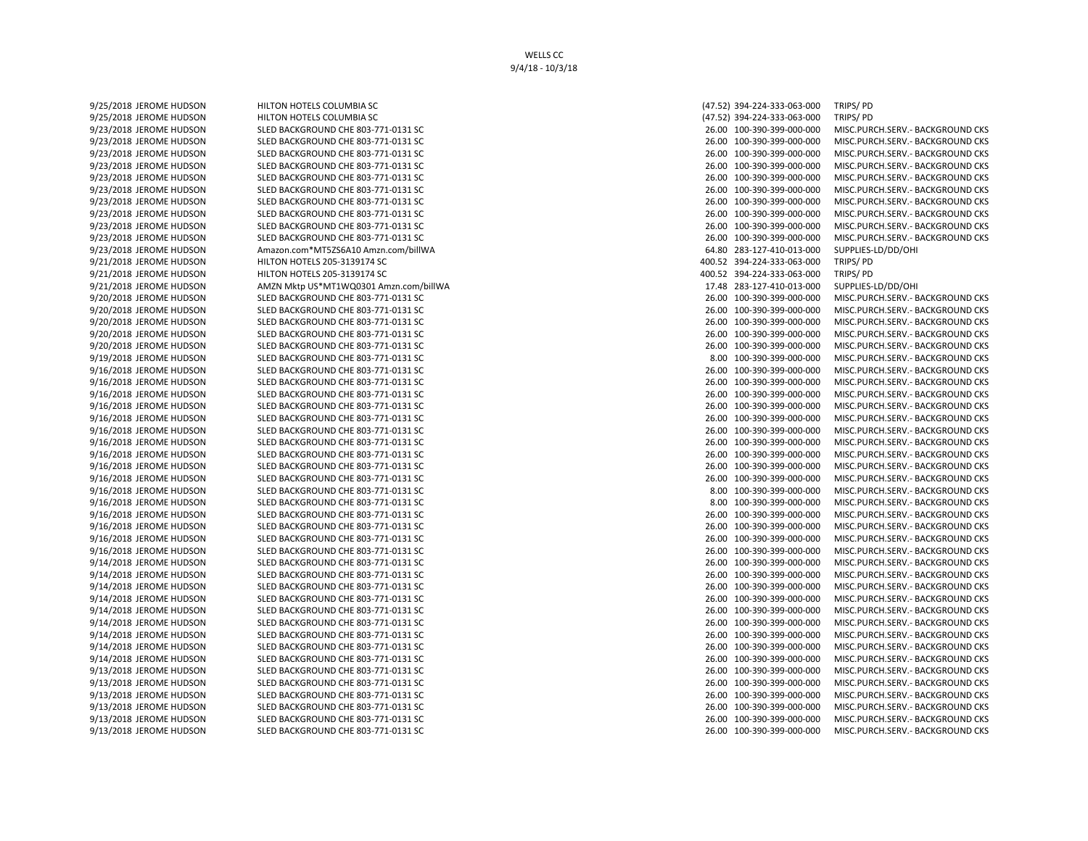9/25/2018 JEROME HUDSON HILTON HOTELS COLUMBIA SC (47.52) 394-224-333-063-000 TRIPS/ PD 9/25/2018 JEROME HUDSON HILTON HOTELS COLUMBIA SC (47.52) 394-224-333-063-000 TRIPS/ PD 9/23/2018 JEROME HUDSON SLED BACKGROUND CHE 803-771-0131 SC 26.00 100-390-399-000-000 MISC.PURCH.SERV.- BACKGROUND CKS 9/23/2018 JEROME HUDSON SLED BACKGROUND CHE 803-771-0131 SC 26.00 100-390-399-000-000 MISC.PURCH.SERV.- BACKGROUND CKS 9/23/2018 JEROME HUDSON SLED BACKGROUND CHE 803-771-0131 SC 26.00 100-390-399-000-000 MISC.PURCH.SERV.- BACKGROUND CKS 9/23/2018 JEROME HUDSON SLED BACKGROUND CHE 803-771-0131 SC 26.00 100-390-399-000-000 MISC.PURCH.SERV.- BACKGROUND CKS 9/23/2018 JEROME HUDSON SLED BACKGROUND CHE 803-771-0131 SC 26.00 100-390-399-000-000 MISC.PURCH.SERV.- BACKGROUND CKS 9/23/2018 JEROME HUDSON SLED BACKGROUND CHE 803-771-0131 SC 26.00 100-390-399-000-000 MISC.PURCH.SERV.- BACKGROUND CKS 9/23/2018 JEROME HUDSON SLED BACKGROUND CHE 803-771-0131 SC 26.00 100-390-399-000-000 MISC.PURCH.SERV.- BACKGROUND CKS 9/23/2018 JEROME HUDSON SLED BACKGROUND CHE 803-771-0131 SC 26.00 100-390-399-000-000 MISC.PURCH.SERV.- BACKGROUND CKS 9/23/2018 JEROME HUDSON SLED BACKGROUND CHE 803-771-0131 SC 26.00 100-390-399-000-000 MISC.PURCH.SERV.- BACKGROUND CKS 9/23/2018 JEROME HUDSON SLED BACKGROUND CHE 803-771-0131 SC 26.00 100-390-399-000-000 MISC.PURCH.SERV.- BACKGROUND CKS 9/23/2018 JEROME HUDSON Amazon.com\*MT5ZS6A10 Amzn.com/billWA 64.80 283-127-410-013-000 SUPPLIES-LD/DD/OHI 9/21/2018 JEROME HUDSON HILTON HOTELS 205-3139174 SC 400.52 394-224-333-063-000 TRIPS/ PD 9/21/2018 JEROME HUDSON HILTON HOTELS 205-3139174 SC 400.52 394-224-333-063-000 TRIPS/ PD 9/21/2018 JEROME HUDSON AMZN Mktp US\*MT1WQ0301 Amzn.com/billWA 17.48 283-127-410-013-000 SUPPLIES-LD/DD/OHI 9/20/2018 JEROME HUDSON SLED BACKGROUND CHE 803-771-0131 SC 26.00 100-390-399-000-000 MISC.PURCH.SERV.- BACKGROUND CKS 9/20/2018 JEROME HUDSON SLED BACKGROUND CHE 803-771-0131 SC 26.00 100-390-399-000-000 MISC.PURCH.SERV.- BACKGROUND CKS 9/20/2018 JEROME HUDSON SLED BACKGROUND CHE 803-771-0131 SC 26.00 100-390-399-000-000 MISC.PURCH.SERV.- BACKGROUND CKS 9/20/2018 JEROME HUDSON SLED BACKGROUND CHE 803-771-0131 SC 26.00 100-390-399-000-000 MISC.PURCH.SERV.- BACKGROUND CKS 9/20/2018 JEROME HUDSON SLED BACKGROUND CHE 803-771-0131 SC 26.00 100-390-399-000-000 MISC.PURCH.SERV.- BACKGROUND CKS 9/19/2018 JEROME HUDSON SLED BACKGROUND CHE 803-771-0131 SC 8.00 100-390-399-000-000 MISC.PURCH.SERV.- BACKGROUND CKS 9/16/2018 JEROME HUDSON SLED BACKGROUND CHE 803-771-0131 SC 26.00 100-390-399-000-000 MISC.PURCH.SERV.- BACKGROUND CKS 9/16/2018 JEROME HUDSON SLED BACKGROUND CHE 803-771-0131 SC 26.00 100-390-399-000-000 MISC.PURCH.SERV.- BACKGROUND CKS 9/16/2018 JEROME HUDSON SLED BACKGROUND CHE 803-771-0131 SC 26.00 100-390-399-000-000 MISC.PURCH.SERV.- BACKGROUND CKS 9/16/2018 JEROME HUDSON SLED BACKGROUND CHE 803-771-0131 SC 26.00 100-390-399-000-000 MISC.PURCH.SERV.- BACKGROUND CKS 9/16/2018 JEROME HUDSON SLED BACKGROUND CHE 803-771-0131 SC 26.00 100-390-399-000-000 MISC.PURCH.SERV.- BACKGROUND CKS 9/16/2018 JEROME HUDSON SLED BACKGROUND CHE 803-771-0131 SC 26.00 100-390-399-000-000 MISC.PURCH.SERV.- BACKGROUND CKS 9/16/2018 JEROME HUDSON SLED BACKGROUND CHE 803-771-0131 SC 26.00 100-390-399-000-000 MISC.PURCH.SERV.- BACKGROUND CKS 9/16/2018 JEROME HUDSON SLED BACKGROUND CHE 803-771-0131 SC 26.00 100-390-399-000-000 MISC.PURCH.SERV.- BACKGROUND CKS 9/16/2018 JEROME HUDSON SLED BACKGROUND CHE 803-771-0131 SC 26.00 100-390-399-000-000 MISC.PURCH.SERV.- BACKGROUND CKS 9/16/2018 JEROME HUDSON SLED BACKGROUND CHE 803-771-0131 SC 26.00 100-390-399-000-000 MISC.PURCH.SERV.- BACKGROUND CKS 9/16/2018 JEROME HUDSON SLED BACKGROUND CHE 803-771-0131 SC 8.00 100-390-399-000-000 MISC.PURCH.SERV.- BACKGROUND CKS 9/16/2018 JEROME HUDSON SLED BACKGROUND CHE 803-771-0131 SC 8.00 100-390-399-000-000 MISC.PURCH.SERV.- BACKGROUND CKS 9/16/2018 JEROME HUDSON SLED BACKGROUND CHE 803-771-0131 SC 26.00 100-390-399-000-000 MISC.PURCH.SERV.- BACKGROUND CKS 9/16/2018 JEROME HUDSON SLED BACKGROUND CHE 803-771-0131 SC 26.00 100-390-399-000-000 MISC.PURCH.SERV.- BACKGROUND CKS 9/16/2018 JEROME HUDSON SLED BACKGROUND CHE 803-771-0131 SC 26.00 100-390-399-000-000 MISC.PURCH.SERV.- BACKGROUND CKS 9/16/2018 JEROME HUDSON SLED BACKGROUND CHE 803-771-0131 SC 26.00 100-390-399-000-000 MISC.PURCH.SERV.- BACKGROUND CKS 9/14/2018 JEROME HUDSON SLED BACKGROUND CHE 803-771-0131 SC 26.00 100-390-399-000-000 MISC.PURCH.SERV.- BACKGROUND CKS 9/14/2018 JEROME HUDSON SLED BACKGROUND CHE 803-771-0131 SC 26.00 100-390-399-000-000 MISC.PURCH.SERV.- BACKGROUND CKS 9/14/2018 JEROME HUDSON SLED BACKGROUND CHE 803-771-0131 SC 26.00 100-390-399-000-000 MISC.PURCH.SERV.- BACKGROUND CKS 9/14/2018 JEROME HUDSON SLED BACKGROUND CHE 803-771-0131 SC 26.00 100-390-399-000-000 MISC.PURCH.SERV.- BACKGROUND CKS 9/14/2018 JEROME HUDSON SLED BACKGROUND CHE 803-771-0131 SC 26.00 100-390-399-000-000 MISC.PURCH.SERV.- BACKGROUND CKS 9/14/2018 JEROME HUDSON SLED BACKGROUND CHE 803-771-0131 SC 26.00 100-390-399-000-000 MISC.PURCH.SERV.- BACKGROUND CKS 9/14/2018 JEROME HUDSON SLED BACKGROUND CHE 803-771-0131 SC 26.00 100-390-399-000-000 MISC.PURCH.SERV.- BACKGROUND CKS 9/14/2018 JEROME HUDSON SLED BACKGROUND CHE 803-771-0131 SC 26.00 100-390-399-000-000 MISC.PURCH.SERV.- BACKGROUND CKS 9/14/2018 JEROME HUDSON SLED BACKGROUND CHE 803-771-0131 SC 26.00 100-390-399-000-000 MISC.PURCH.SERV.- BACKGROUND CKS 9/13/2018 JEROME HUDSON SLED BACKGROUND CHE 803-771-0131 SC 26.00 100-390-399-000-000 MISC.PURCH.SERV.- BACKGROUND CKS 9/13/2018 JEROME HUDSON SLED BACKGROUND CHE 803-771-0131 SC 26.00 100-390-399-000-000 MISC.PURCH.SERV.- BACKGROUND CKS 9/13/2018 JEROME HUDSON SLED BACKGROUND CHE 803-771-0131 SC 26.00 100-390-399-000-000 MISC.PURCH.SERV.- BACKGROUND CKS 9/13/2018 JEROME HUDSON SLED BACKGROUND CHE 803-771-0131 SC 26.00 100-390-399-000-000 MISC.PURCH.SERV.- BACKGROUND CKS 9/13/2018 JEROME HUDSON SLED BACKGROUND CHE 803-771-0131 SC 26.00 100-390-399-000-000 MISC.PURCH.SERV.- BACKGROUND CKS 9/13/2018 JEROME HUDSON SLED BACKGROUND CHE 803-771-0131 SC 26.00 100-390-399-000-000 MISC.PURCH.SERV.- BACKGROUND CKS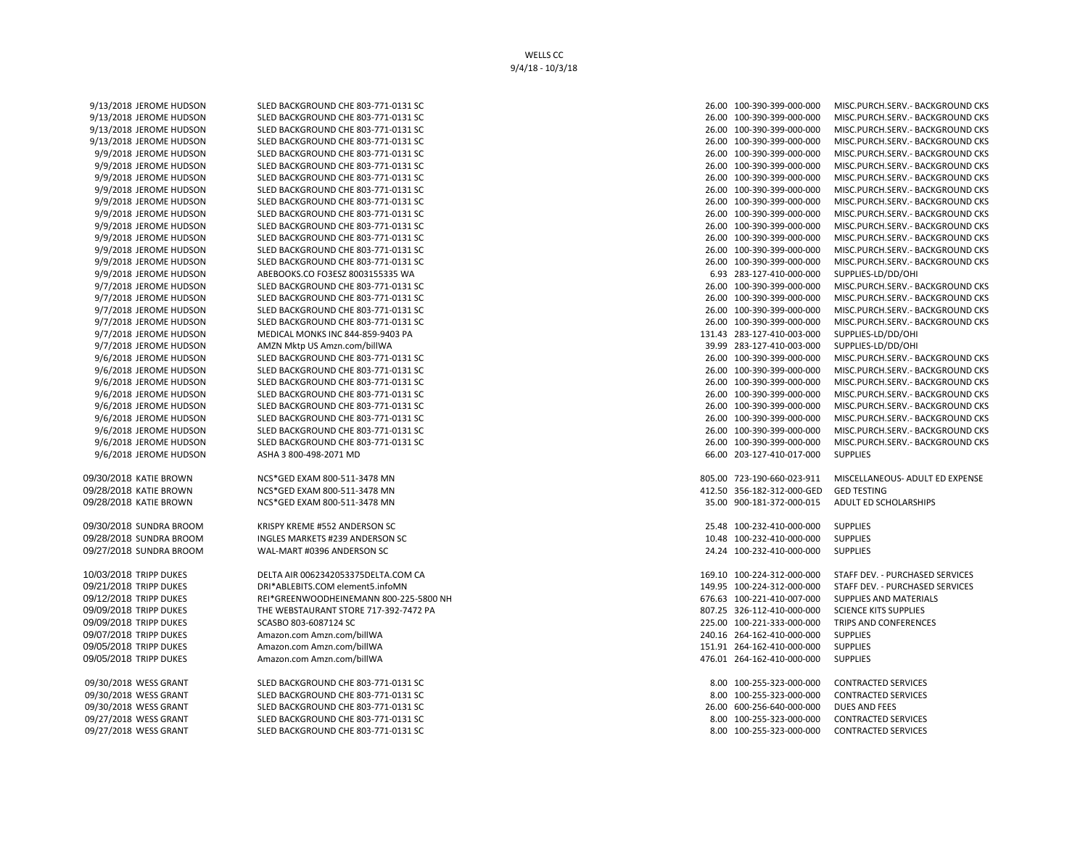WELLS CC 9/4/18 - 10/3/18

09/30/2018 WESS GRANT SLED BACKGROUND CHE 803-771-0131 SC 09/30/2018 WESS GRANT SLED BACKGROUND CHE 803-771-0131 SC 09/30/2018 WESS GRANT SLED BACKGROUND CHE 803-771-0131 SC 09/27/2018 WESS GRANT SLED BACKGROUND CHE 803-771-0131 SC 09/27/2018 WESS GRANT SLED BACKGROUND CHE 803-771-0131 SC 8.00 SUB-800 100-255-323-000-000 CONTRACTED SERVICES

| 9/13/2018 JEROME HUDSON | SLED BACKGROUND CHE 803-771-0131 SC    | 26.00 100-390-399-000-000  | MISC.PURCH.SERV. - BACKGROUND CKS |
|-------------------------|----------------------------------------|----------------------------|-----------------------------------|
| 9/13/2018 JEROME HUDSON | SLED BACKGROUND CHE 803-771-0131 SC    | 26.00 100-390-399-000-000  | MISC.PURCH.SERV. - BACKGROUND CKS |
| 9/13/2018 JEROME HUDSON | SLED BACKGROUND CHE 803-771-0131 SC    | 26.00 100-390-399-000-000  | MISC.PURCH.SERV. - BACKGROUND CKS |
| 9/13/2018 JEROME HUDSON | SLED BACKGROUND CHE 803-771-0131 SC    | 26.00 100-390-399-000-000  | MISC.PURCH.SERV. - BACKGROUND CKS |
| 9/9/2018 JEROME HUDSON  | SLED BACKGROUND CHE 803-771-0131 SC    | 26.00 100-390-399-000-000  | MISC.PURCH.SERV. - BACKGROUND CKS |
| 9/9/2018 JEROME HUDSON  | SLED BACKGROUND CHE 803-771-0131 SC    | 26.00 100-390-399-000-000  | MISC.PURCH.SERV. - BACKGROUND CKS |
| 9/9/2018 JEROME HUDSON  | SLED BACKGROUND CHE 803-771-0131 SC    | 26.00 100-390-399-000-000  | MISC.PURCH.SERV. - BACKGROUND CKS |
| 9/9/2018 JEROME HUDSON  | SLED BACKGROUND CHE 803-771-0131 SC    | 26.00 100-390-399-000-000  | MISC.PURCH.SERV.- BACKGROUND CKS  |
| 9/9/2018 JEROME HUDSON  | SLED BACKGROUND CHE 803-771-0131 SC    | 26.00 100-390-399-000-000  | MISC.PURCH.SERV. - BACKGROUND CKS |
| 9/9/2018 JEROME HUDSON  | SLED BACKGROUND CHE 803-771-0131 SC    | 26.00 100-390-399-000-000  | MISC.PURCH.SERV. - BACKGROUND CKS |
| 9/9/2018 JEROME HUDSON  | SLED BACKGROUND CHE 803-771-0131 SC    | 26.00 100-390-399-000-000  | MISC.PURCH.SERV. - BACKGROUND CKS |
| 9/9/2018 JEROME HUDSON  | SLED BACKGROUND CHE 803-771-0131 SC    | 26.00 100-390-399-000-000  | MISC.PURCH.SERV. - BACKGROUND CKS |
| 9/9/2018 JEROME HUDSON  | SLED BACKGROUND CHE 803-771-0131 SC    | 26.00 100-390-399-000-000  | MISC.PURCH.SERV. - BACKGROUND CKS |
| 9/9/2018 JEROME HUDSON  | SLED BACKGROUND CHE 803-771-0131 SC    | 26.00 100-390-399-000-000  | MISC.PURCH.SERV. - BACKGROUND CKS |
| 9/9/2018 JEROME HUDSON  | ABEBOOKS.CO FO3ESZ 8003155335 WA       | 6.93 283-127-410-000-000   | SUPPLIES-LD/DD/OHI                |
| 9/7/2018 JEROME HUDSON  | SLED BACKGROUND CHE 803-771-0131 SC    | 26.00 100-390-399-000-000  | MISC.PURCH.SERV.- BACKGROUND CKS  |
| 9/7/2018 JEROME HUDSON  | SLED BACKGROUND CHE 803-771-0131 SC    | 26.00 100-390-399-000-000  | MISC.PURCH.SERV. - BACKGROUND CKS |
| 9/7/2018 JEROME HUDSON  | SLED BACKGROUND CHE 803-771-0131 SC    | 26.00 100-390-399-000-000  | MISC.PURCH.SERV.- BACKGROUND CKS  |
| 9/7/2018 JEROME HUDSON  | SLED BACKGROUND CHE 803-771-0131 SC    | 26.00 100-390-399-000-000  | MISC.PURCH.SERV.- BACKGROUND CKS  |
| 9/7/2018 JEROME HUDSON  | MEDICAL MONKS INC 844-859-9403 PA      | 131.43 283-127-410-003-000 | SUPPLIES-LD/DD/OHI                |
| 9/7/2018 JEROME HUDSON  | AMZN Mktp US Amzn.com/billWA           | 39.99 283-127-410-003-000  | SUPPLIES-LD/DD/OHI                |
| 9/6/2018 JEROME HUDSON  | SLED BACKGROUND CHE 803-771-0131 SC    | 26.00 100-390-399-000-000  | MISC.PURCH.SERV.- BACKGROUND CKS  |
| 9/6/2018 JEROME HUDSON  | SLED BACKGROUND CHE 803-771-0131 SC    | 26.00 100-390-399-000-000  | MISC.PURCH.SERV.- BACKGROUND CKS  |
| 9/6/2018 JEROME HUDSON  | SLED BACKGROUND CHE 803-771-0131 SC    | 26.00 100-390-399-000-000  | MISC.PURCH.SERV.- BACKGROUND CKS  |
| 9/6/2018 JEROME HUDSON  | SLED BACKGROUND CHE 803-771-0131 SC    | 26.00 100-390-399-000-000  | MISC.PURCH.SERV.- BACKGROUND CKS  |
| 9/6/2018 JEROME HUDSON  | SLED BACKGROUND CHE 803-771-0131 SC    | 26.00 100-390-399-000-000  | MISC.PURCH.SERV. - BACKGROUND CKS |
| 9/6/2018 JEROME HUDSON  | SLED BACKGROUND CHE 803-771-0131 SC    | 26.00 100-390-399-000-000  | MISC.PURCH.SERV. - BACKGROUND CKS |
| 9/6/2018 JEROME HUDSON  | SLED BACKGROUND CHE 803-771-0131 SC    | 26.00 100-390-399-000-000  | MISC.PURCH.SERV.- BACKGROUND CKS  |
| 9/6/2018 JEROME HUDSON  | SLED BACKGROUND CHE 803-771-0131 SC    | 26.00 100-390-399-000-000  | MISC.PURCH.SERV. - BACKGROUND CKS |
| 9/6/2018 JEROME HUDSON  | ASHA 3 800-498-2071 MD                 | 66.00 203-127-410-017-000  | <b>SUPPLIES</b>                   |
| 09/30/2018 KATIE BROWN  | NCS*GED EXAM 800-511-3478 MN           | 805.00 723-190-660-023-911 | MISCELLANEOUS- ADULT ED EXPENSE   |
| 09/28/2018 KATIE BROWN  | NCS*GED EXAM 800-511-3478 MN           | 412.50 356-182-312-000-GED | <b>GED TESTING</b>                |
| 09/28/2018 KATIE BROWN  | NCS*GED EXAM 800-511-3478 MN           | 35.00 900-181-372-000-015  | <b>ADULT ED SCHOLARSHIPS</b>      |
| )9/30/2018 SUNDRA BROOM | KRISPY KREME #552 ANDERSON SC          | 25.48 100-232-410-000-000  | <b>SUPPLIES</b>                   |
| 09/28/2018 SUNDRA BROOM | INGLES MARKETS #239 ANDERSON SC        | 10.48 100-232-410-000-000  | <b>SUPPLIES</b>                   |
| )9/27/2018 SUNDRA BROOM | WAL-MART #0396 ANDERSON SC             | 24.24 100-232-410-000-000  | <b>SUPPLIES</b>                   |
| 10/03/2018 TRIPP DUKES  | DELTA AIR 0062342053375DELTA.COM CA    | 169.10 100-224-312-000-000 | STAFF DEV. - PURCHASED SERVICES   |
| )9/21/2018 TRIPP DUKES  | DRI*ABLEBITS.COM element5.infoMN       | 149.95 100-224-312-000-000 | STAFF DEV. - PURCHASED SERVICES   |
| 09/12/2018 TRIPP DUKES  | REI*GREENWOODHEINEMANN 800-225-5800 NH | 676.63 100-221-410-007-000 | SUPPLIES AND MATERIALS            |
| 09/09/2018 TRIPP DUKES  | THE WEBSTAURANT STORE 717-392-7472 PA  | 807.25 326-112-410-000-000 | <b>SCIENCE KITS SUPPLIES</b>      |
| 09/09/2018 TRIPP DUKES  | SCASBO 803-6087124 SC                  | 225.00 100-221-333-000-000 | TRIPS AND CONFERENCES             |
| 09/07/2018 TRIPP DUKES  | Amazon.com Amzn.com/billWA             | 240.16 264-162-410-000-000 | <b>SUPPLIES</b>                   |
| 09/05/2018 TRIPP DUKES  | Amazon.com Amzn.com/billWA             | 151.91 264-162-410-000-000 | <b>SUPPLIES</b>                   |
| 09/05/2018 TRIPP DUKES  | Amazon.com Amzn.com/billWA             | 476.01 264-162-410-000-000 | <b>SUPPLIES</b>                   |
| 09/30/2018 WESS GRANT   | SLED BACKGROUND CHE 803-771-0131 SC    | 8.00 100-255-323-000-000   | <b>CONTRACTED SERVICES</b>        |
| 09/30/2018 WESS GRANT   | SLED BACKGROUND CHE 803-771-0131 SC    | 8.00 100-255-323-000-000   | <b>CONTRACTED SERVICES</b>        |
| 09/30/2018 WESS GRANT   | SLED BACKGROUND CHE 803-771-0131 SC    | 26.00 600-256-640-000-000  | <b>DUES AND FEES</b>              |
| 09/27/2018 WESS GRANT   | SLED BACKGROUND CHE 803-771-0131 SC    | 8.00 100-255-323-000-000   | <b>CONTRACTED SERVICES</b>        |
| 00/27/2010 MECC CRANT   | CLED BACKCROLIND CHE 002 771 0121 CC   | 0.00 100 255 222 000 000   | CONTRACTED CERVICES               |